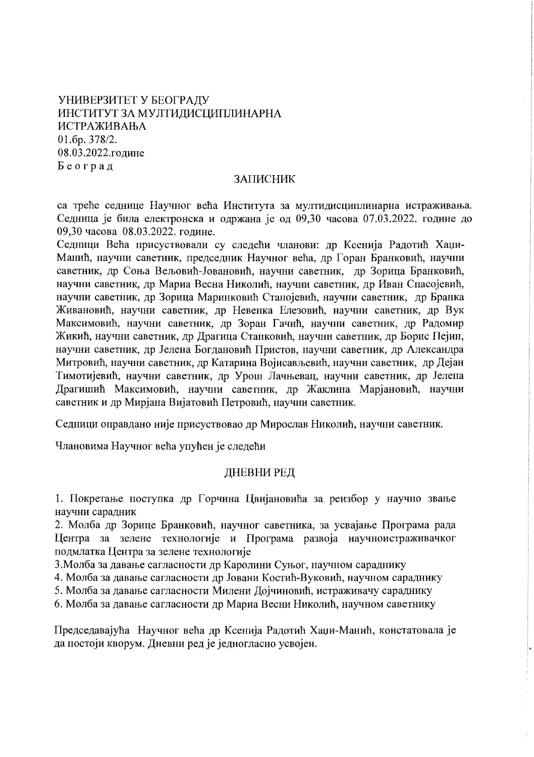# УНИВЕРЗИТЕТ У БЕОГРАЛУ ИНСТИТУТ ЗА МУЛТИДИСЦИПЛИНАРНА **ИСТРАЖИВАЊА** 01.6p. 378/2. 08.03.2022.године Београд

### ЗАПИСНИК

са треће седнице Научног већа Института за мултидисциплинарна истраживања. Седница је била електронска и одржана је од 09,30 часова 07.03.2022. године до 09,30 часова 08.03.2022. године.

Седници Већа присуствовали су следећи чланови: др Ксенија Радотић Хаџи-Манић, научни саветник, председник Научног већа, др Горан Бранковић, научни саветник, др Соња Вељовић-Јовановић, научни саветник, др Зорица Бранковић, научни саветник, др Мариа Весна Николић, научни саветник, др Иван Спасојевић, научни саветник, др Зорица Маринковић Станојевић, научни саветник, др Бранка Живановић, научни саветник, др Невенка Елезовић, научни саветник, др Вук Максимовић, научни саветник, др Зоран Гачић, научни саветник, др Радомир Жикић, научни саветник, др Драгица Станковић, научни саветник, др Борис Пејин, научни саветник, др Јелена Богдановић Пристов, научни саветник, др Александра Митровић, научни саветник, др Катарина Војисављевић, научни саветник, др Дејан Тимотијевић, научни саветник, др Урош Лачњевац, научни саветник, др Јелена Драгишић Максимовић, научни саветник, др Жаклина Марјановић, научни саветник и др Мирјана Вијатовић Петровић, научни саветник.

Седници оправдано није присуствовао др Мирослав Николић, научни саветник.

Члановима Научног већа упућен је следећи

## ДНЕВНИ РЕД

1. Покретање поступка др Горчина Цвијановића за реизбор у научно звање научни сарадник

2. Молба др Зорице Бранковић, научног саветника, за усвајање Програма рада Центра за зелене технологије и Програма развоја научноистраживачког подмлатка Центра за зелене технологије

3. Молба за давање сагласности др Каролини Суњог, научном сараднику

4. Молба за давање сагласности др Јовани Костић-Вуковић, научном сараднику

5. Молба за давање сагласности Милени Дојчиновић, истраживачу сараднику

6. Молба за давање сагласности др Мариа Весни Николић, научном саветнику

Председавајућа Научног већа др Ксенија Радотић Хаџи-Манић, констатовала је да постоји кворум. Дневни ред је једногласно усвојен.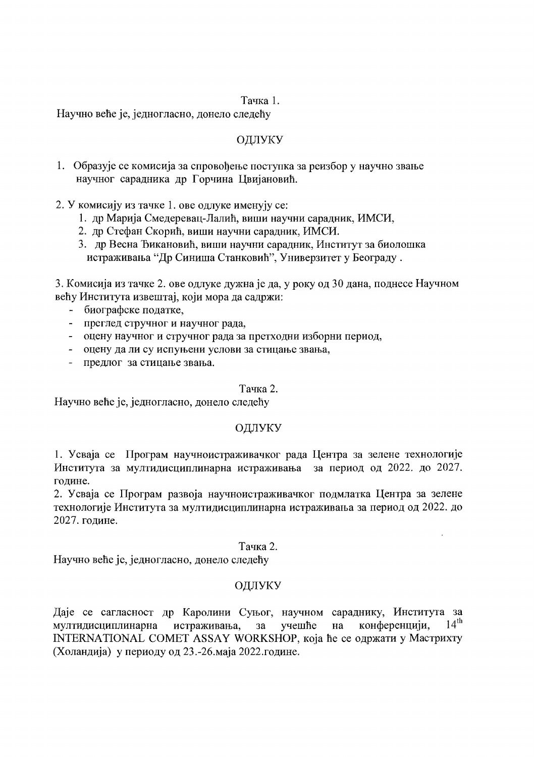#### Тачка 1.

Научно веће је, једногласно, донело следећу

### ОЛЛУКУ

1. Образује се комисија за спровођење поступка за реизбор у научно звање научног сарадника др Горчина Цвијановић.

2. У комисију из тачке 1. ове одлуке именују се:

- 1. др Марија Смедеревац-Лалић, виши научни сарадник, ИМСИ,
- 2. др Стефан Скорић, виши научни сарадник, ИМСИ.
- 3. др Весна Ђикановић, виши научни сарадник, Институт за биолошка истраживања "Др Синиша Станковић", Универзитет у Београду.

3. Комисија из тачке 2. ове одлуке дужна је да, у року од 30 дана, поднесе Научном већу Института извештај, који мора да садржи:

- биографске податке,  $\frac{1}{2}$
- преглед стручног и научног рада,
- оцену научног и стручног рада за претходни изборни период,
- оцену да ли су испуњени услови за стицање звања,
- предлог за стицање звања.

#### Тачка 2.

Научно веће је, једногласно, донело следећу

#### ОДЛУКУ

1. Усваја се Програм научноистраживачког рада Центра за зелене технологије Института за мултидисциплинарна истраживања за период од 2022. до 2027. године.

2. Усваја се Програм развоја научноистраживачког подмлатка Центра за зелене технологије Института за мултидисциплинарна истраживања за период од 2022. до 2027. године.

### Тачка 2.

Научно веће је, једногласно, донело следећу

#### ОДЛУКУ

Даје се сагласност др Каролини Суњог, научном сараднику, Института за  $14^{\text{th}}$ мултидисциплинарна истраживања, за учешће на конференцији, INTERNATIONAL COMET ASSAY WORKSHOP, која ће се одржати у Мастрихту (Холандија) у периоду од 23.-26. маја 2022. године.